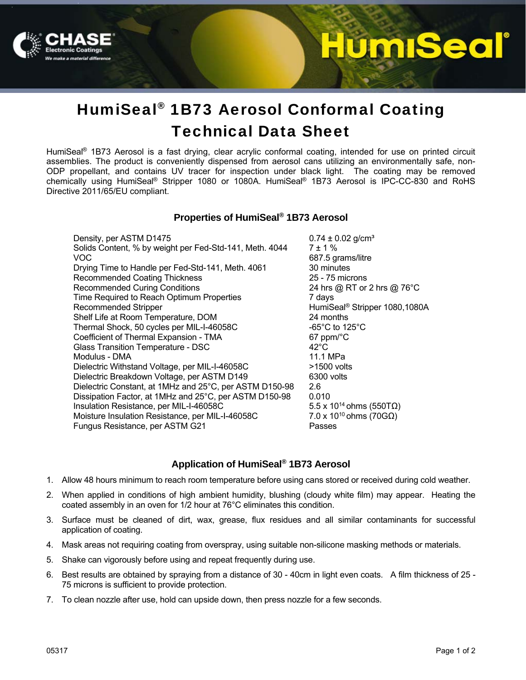

# **lumiSeal**

## HumiSeal® 1B73 Aerosol Conformal Coating Technical Data Sheet

HumiSeal® 1B73 Aerosol is a fast drying, clear acrylic conformal coating, intended for use on printed circuit assemblies. The product is conveniently dispensed from aerosol cans utilizing an environmentally safe, non-ODP propellant, and contains UV tracer for inspection under black light. The coating may be removed chemically using HumiSeal® Stripper 1080 or 1080A. HumiSeal® 1B73 Aerosol is IPC-CC-830 and RoHS Directive 2011/65/EU compliant.

### **Properties of HumiSeal® 1B73 Aerosol**

Density, per ASTM D1475  $0.74 \pm 0.02$  g/cm<sup>3</sup> Solids Content, % by weight per Fed-Std-141, Meth.  $4044$   $7 \pm 1$  % VOC 687.5 grams/litre Drying Time to Handle per Fed-Std-141, Meth. 4061 30 minutes<br>Recommended Coating Thickness 30 minutes 35 - 75 microns Recommended Coating Thickness Recommended Curing Conditions 24 hrs @ RT or 2 hrs @ 76°C Time Required to Reach Optimum Properties 7 days Recommended Stripper **Mateurs** Recommended Stripper 1080,1080A Shelf Life at Room Temperature, DOM 24 months Thermal Shock, 50 cycles per MIL-I-46058C -65°C to 125°C Coefficient of Thermal Expansion - TMA 67 ppm/°C Glass Transition Temperature - DSC 42°C Modulus - DMA 11.1 MPa Dielectric Withstand Voltage, per MIL-I-46058C  $\longrightarrow$ 1500 volts Dielectric Breakdown Voltage, per ASTM D149 6300 volts Dielectric Constant, at 1MHz and 25°C, per ASTM D150-98 2.6 Dissipation Factor, at 1MHz and 25°C, per ASTM D150-98 0.010 Insulation Resistance, per MIL-I-46058C 5.5 x 10<sup>14</sup> ohms (550TΩ)<br>Moisture Insulation Resistance, per MIL-I-46058C 7.0 x 10<sup>10</sup> ohms (70GΩ) Moisture Insulation Resistance, per MIL-I-46058C Fungus Resistance, per ASTM G21 Passes

## **Application of HumiSeal® 1B73 Aerosol**

- 1. Allow 48 hours minimum to reach room temperature before using cans stored or received during cold weather.
- 2. When applied in conditions of high ambient humidity, blushing (cloudy white film) may appear. Heating the coated assembly in an oven for 1/2 hour at 76°C eliminates this condition.
- 3. Surface must be cleaned of dirt, wax, grease, flux residues and all similar contaminants for successful application of coating.
- 4. Mask areas not requiring coating from overspray, using suitable non-silicone masking methods or materials.
- 5. Shake can vigorously before using and repeat frequently during use.
- 6. Best results are obtained by spraying from a distance of 30 40cm in light even coats. A film thickness of 25 75 microns is sufficient to provide protection.
- 7. To clean nozzle after use, hold can upside down, then press nozzle for a few seconds.